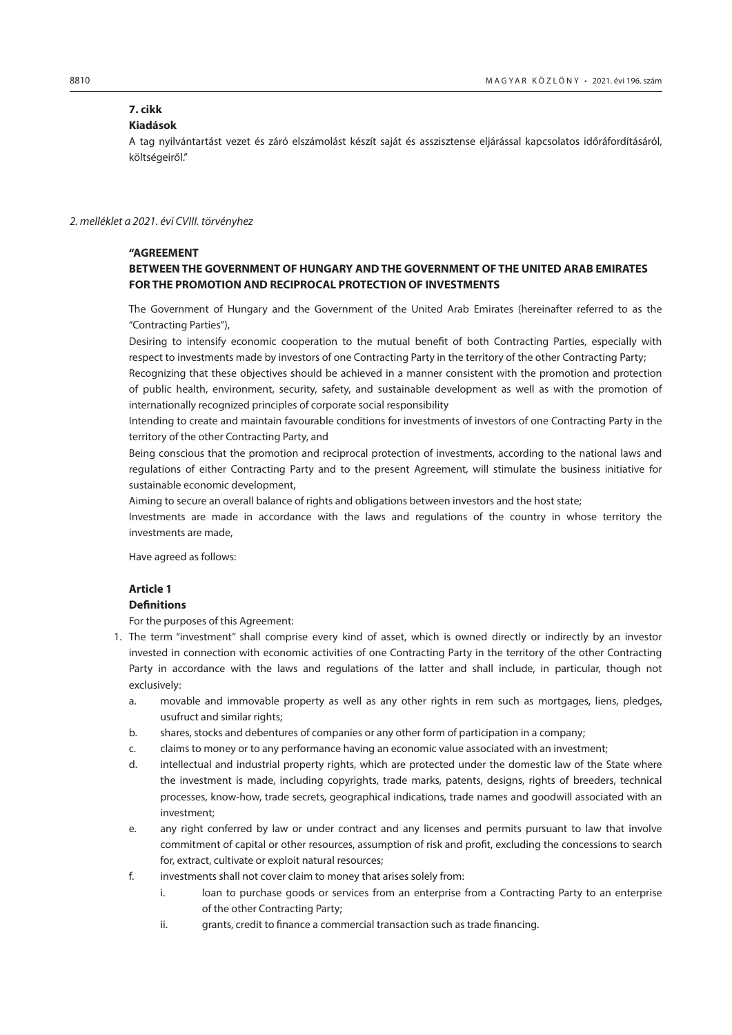# **7. cikk**

# **Kiadások**

A tag nyilvántartást vezet és záró elszámolást készít saját és asszisztense eljárással kapcsolatos időráfordításáról, költségeiről."

#### *2. melléklet a 2021. évi CVIII. törvényhez*

# **"AGREEMENT**

# **BETWEEN THE GOVERNMENT OF HUNGARY AND THE GOVERNMENT OF THE UNITED ARAB EMIRATES FOR THE PROMOTION AND RECIPROCAL PROTECTION OF INVESTMENTS**

The Government of Hungary and the Government of the United Arab Emirates (hereinafter referred to as the "Contracting Parties"),

Desiring to intensify economic cooperation to the mutual benefit of both Contracting Parties, especially with respect to investments made by investors of one Contracting Party in the territory of the other Contracting Party;

Recognizing that these objectives should be achieved in a manner consistent with the promotion and protection of public health, environment, security, safety, and sustainable development as well as with the promotion of internationally recognized principles of corporate social responsibility

Intending to create and maintain favourable conditions for investments of investors of one Contracting Party in the territory of the other Contracting Party, and

Being conscious that the promotion and reciprocal protection of investments, according to the national laws and regulations of either Contracting Party and to the present Agreement, will stimulate the business initiative for sustainable economic development,

Aiming to secure an overall balance of rights and obligations between investors and the host state;

Investments are made in accordance with the laws and regulations of the country in whose territory the investments are made,

Have agreed as follows:

# **Article 1 Definitions**

For the purposes of this Agreement:

- 1. The term "investment" shall comprise every kind of asset, which is owned directly or indirectly by an investor invested in connection with economic activities of one Contracting Party in the territory of the other Contracting Party in accordance with the laws and regulations of the latter and shall include, in particular, though not exclusively:
	- a. movable and immovable property as well as any other rights in rem such as mortgages, liens, pledges, usufruct and similar rights;
	- b. shares, stocks and debentures of companies or any other form of participation in a company;
	- c. claims to money or to any performance having an economic value associated with an investment;
	- d. intellectual and industrial property rights, which are protected under the domestic law of the State where the investment is made, including copyrights, trade marks, patents, designs, rights of breeders, technical processes, know-how, trade secrets, geographical indications, trade names and goodwill associated with an investment;
	- e. any right conferred by law or under contract and any licenses and permits pursuant to law that involve commitment of capital or other resources, assumption of risk and profit, excluding the concessions to search for, extract, cultivate or exploit natural resources;
	- f. investments shall not cover claim to money that arises solely from:
		- i. loan to purchase goods or services from an enterprise from a Contracting Party to an enterprise of the other Contracting Party;
		- ii. grants, credit to finance a commercial transaction such as trade financing.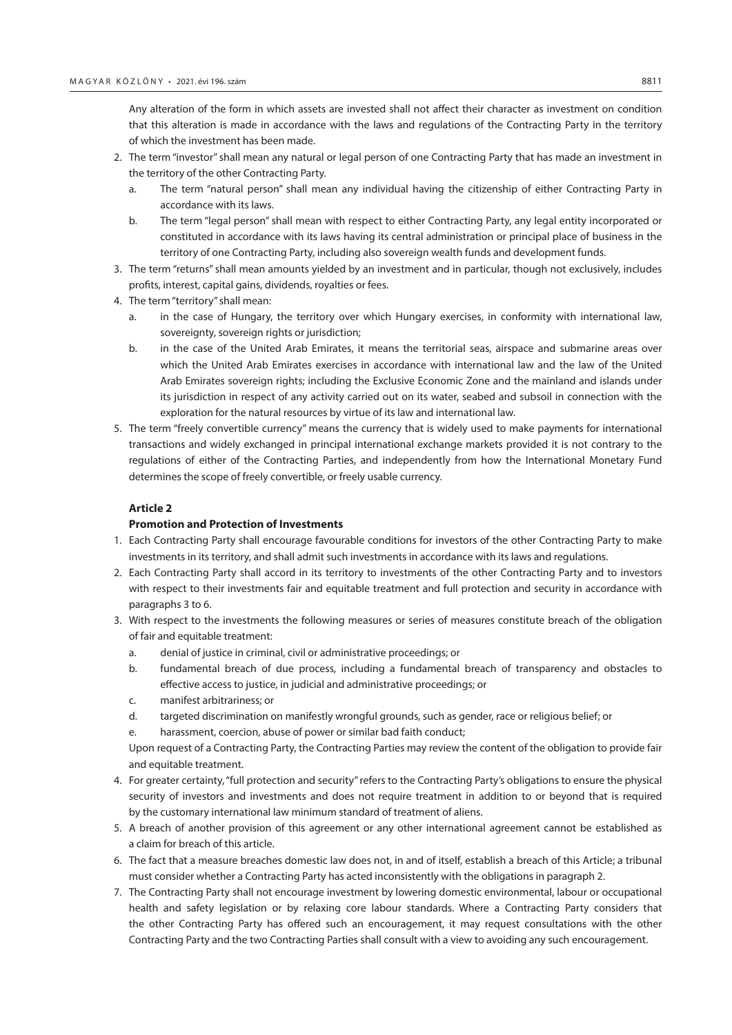Any alteration of the form in which assets are invested shall not affect their character as investment on condition that this alteration is made in accordance with the laws and regulations of the Contracting Party in the territory of which the investment has been made.

- 2. The term "investor" shall mean any natural or legal person of one Contracting Party that has made an investment in the territory of the other Contracting Party.
	- a. The term "natural person" shall mean any individual having the citizenship of either Contracting Party in accordance with its laws.
	- b. The term "legal person" shall mean with respect to either Contracting Party, any legal entity incorporated or constituted in accordance with its laws having its central administration or principal place of business in the territory of one Contracting Party, including also sovereign wealth funds and development funds.
- 3. The term "returns" shall mean amounts yielded by an investment and in particular, though not exclusively, includes profits, interest, capital gains, dividends, royalties or fees.
- 4. The term "territory" shall mean:
	- a. in the case of Hungary, the territory over which Hungary exercises, in conformity with international law, sovereignty, sovereign rights or jurisdiction;
	- b. in the case of the United Arab Emirates, it means the territorial seas, airspace and submarine areas over which the United Arab Emirates exercises in accordance with international law and the law of the United Arab Emirates sovereign rights; including the Exclusive Economic Zone and the mainland and islands under its jurisdiction in respect of any activity carried out on its water, seabed and subsoil in connection with the exploration for the natural resources by virtue of its law and international law.
- 5. The term "freely convertible currency" means the currency that is widely used to make payments for international transactions and widely exchanged in principal international exchange markets provided it is not contrary to the regulations of either of the Contracting Parties, and independently from how the International Monetary Fund determines the scope of freely convertible, or freely usable currency.

## **Article 2**

# **Promotion and Protection of Investments**

- 1. Each Contracting Party shall encourage favourable conditions for investors of the other Contracting Party to make investments in its territory, and shall admit such investments in accordance with its laws and regulations.
- 2. Each Contracting Party shall accord in its territory to investments of the other Contracting Party and to investors with respect to their investments fair and equitable treatment and full protection and security in accordance with paragraphs 3 to 6.
- 3. With respect to the investments the following measures or series of measures constitute breach of the obligation of fair and equitable treatment:
	- a. denial of justice in criminal, civil or administrative proceedings; or
	- b. fundamental breach of due process, including a fundamental breach of transparency and obstacles to effective access to justice, in judicial and administrative proceedings; or
	- c. manifest arbitrariness; or
	- d. targeted discrimination on manifestly wrongful grounds, such as gender, race or religious belief; or
	- e. harassment, coercion, abuse of power or similar bad faith conduct;

Upon request of a Contracting Party, the Contracting Parties may review the content of the obligation to provide fair and equitable treatment.

- 4. For greater certainty, "full protection and security" refers to the Contracting Party's obligations to ensure the physical security of investors and investments and does not require treatment in addition to or beyond that is required by the customary international law minimum standard of treatment of aliens.
- 5. A breach of another provision of this agreement or any other international agreement cannot be established as a claim for breach of this article.
- 6. The fact that a measure breaches domestic law does not, in and of itself, establish a breach of this Article; a tribunal must consider whether a Contracting Party has acted inconsistently with the obligations in paragraph 2.
- 7. The Contracting Party shall not encourage investment by lowering domestic environmental, labour or occupational health and safety legislation or by relaxing core labour standards. Where a Contracting Party considers that the other Contracting Party has offered such an encouragement, it may request consultations with the other Contracting Party and the two Contracting Parties shall consult with a view to avoiding any such encouragement.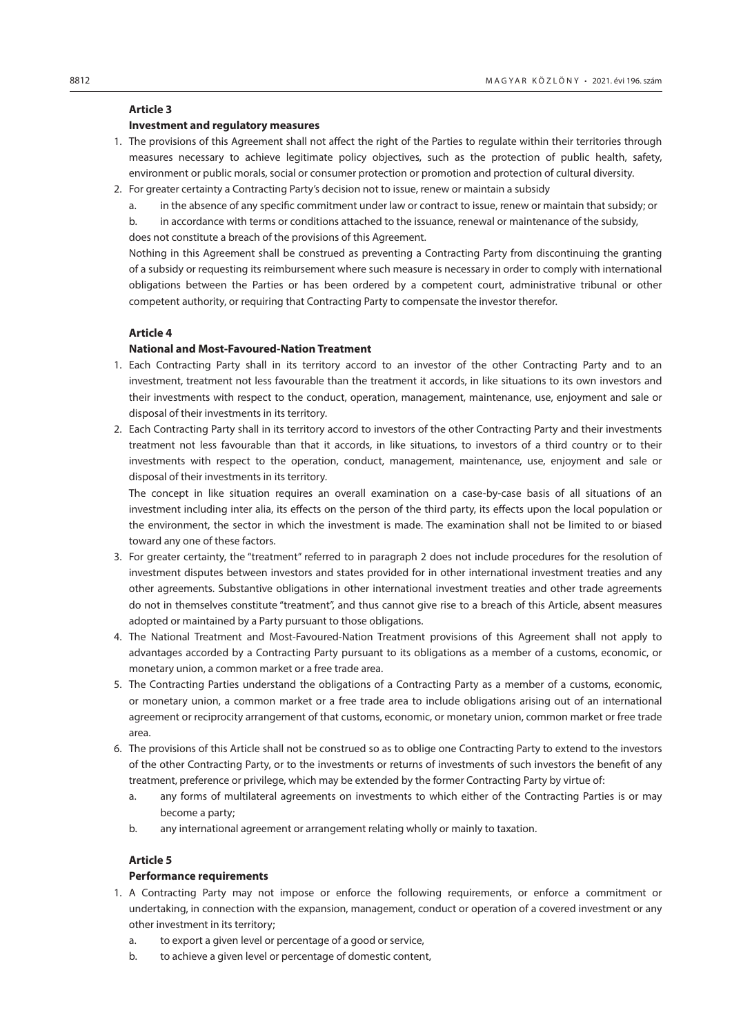# **Investment and regulatory measures**

- 1. The provisions of this Agreement shall not affect the right of the Parties to regulate within their territories through measures necessary to achieve legitimate policy objectives, such as the protection of public health, safety, environment or public morals, social or consumer protection or promotion and protection of cultural diversity.
- 2. For greater certainty a Contracting Party's decision not to issue, renew or maintain a subsidy
	- a. in the absence of any specific commitment under law or contract to issue, renew or maintain that subsidy; or

b. in accordance with terms or conditions attached to the issuance, renewal or maintenance of the subsidy, does not constitute a breach of the provisions of this Agreement.

Nothing in this Agreement shall be construed as preventing a Contracting Party from discontinuing the granting of a subsidy or requesting its reimbursement where such measure is necessary in order to comply with international obligations between the Parties or has been ordered by a competent court, administrative tribunal or other competent authority, or requiring that Contracting Party to compensate the investor therefor.

### **Article 4**

### **National and Most-Favoured-Nation Treatment**

- 1. Each Contracting Party shall in its territory accord to an investor of the other Contracting Party and to an investment, treatment not less favourable than the treatment it accords, in like situations to its own investors and their investments with respect to the conduct, operation, management, maintenance, use, enjoyment and sale or disposal of their investments in its territory.
- 2. Each Contracting Party shall in its territory accord to investors of the other Contracting Party and their investments treatment not less favourable than that it accords, in like situations, to investors of a third country or to their investments with respect to the operation, conduct, management, maintenance, use, enjoyment and sale or disposal of their investments in its territory.

The concept in like situation requires an overall examination on a case-by-case basis of all situations of an investment including inter alia, its effects on the person of the third party, its effects upon the local population or the environment, the sector in which the investment is made. The examination shall not be limited to or biased toward any one of these factors.

- 3. For greater certainty, the "treatment" referred to in paragraph 2 does not include procedures for the resolution of investment disputes between investors and states provided for in other international investment treaties and any other agreements. Substantive obligations in other international investment treaties and other trade agreements do not in themselves constitute "treatment", and thus cannot give rise to a breach of this Article, absent measures adopted or maintained by a Party pursuant to those obligations.
- 4. The National Treatment and Most-Favoured-Nation Treatment provisions of this Agreement shall not apply to advantages accorded by a Contracting Party pursuant to its obligations as a member of a customs, economic, or monetary union, a common market or a free trade area.
- 5. The Contracting Parties understand the obligations of a Contracting Party as a member of a customs, economic, or monetary union, a common market or a free trade area to include obligations arising out of an international agreement or reciprocity arrangement of that customs, economic, or monetary union, common market or free trade area.
- 6. The provisions of this Article shall not be construed so as to oblige one Contracting Party to extend to the investors of the other Contracting Party, or to the investments or returns of investments of such investors the benefit of any treatment, preference or privilege, which may be extended by the former Contracting Party by virtue of:
	- a. any forms of multilateral agreements on investments to which either of the Contracting Parties is or may become a party;
	- b. any international agreement or arrangement relating wholly or mainly to taxation.

# **Article 5**

#### **Performance requirements**

- 1. A Contracting Party may not impose or enforce the following requirements, or enforce a commitment or undertaking, in connection with the expansion, management, conduct or operation of a covered investment or any other investment in its territory;
	- a. to export a given level or percentage of a good or service,
	- b. to achieve a given level or percentage of domestic content,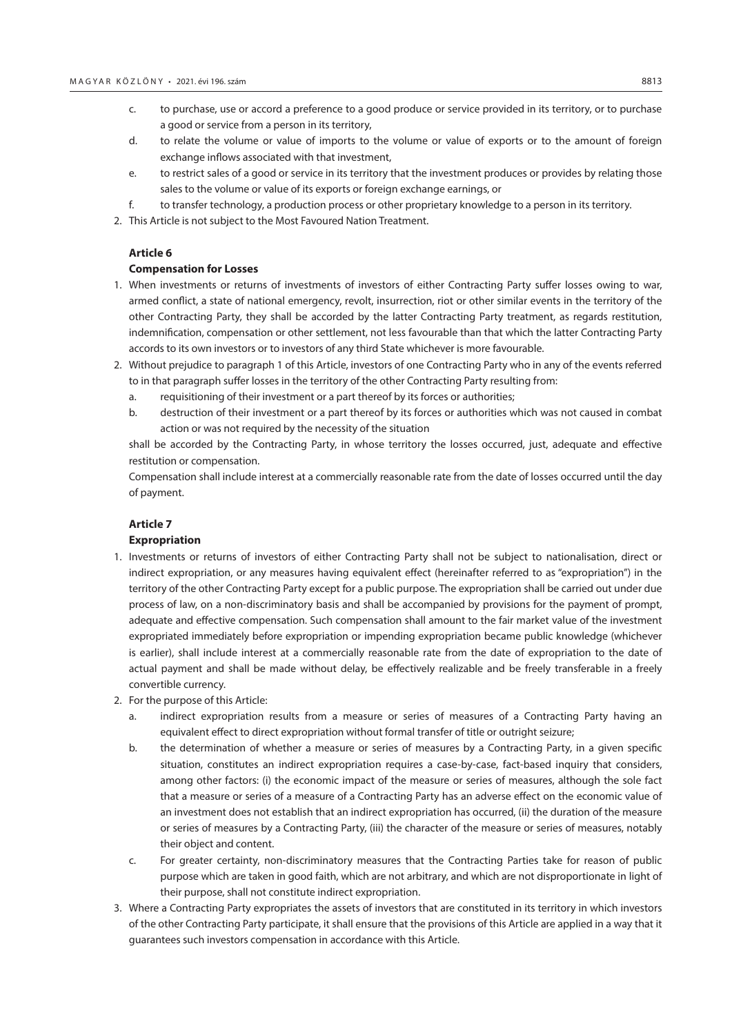- c. to purchase, use or accord a preference to a good produce or service provided in its territory, or to purchase a good or service from a person in its territory,
- d. to relate the volume or value of imports to the volume or value of exports or to the amount of foreign exchange inflows associated with that investment,
- e. to restrict sales of a good or service in its territory that the investment produces or provides by relating those sales to the volume or value of its exports or foreign exchange earnings, or
- f. to transfer technology, a production process or other proprietary knowledge to a person in its territory.
- 2. This Article is not subject to the Most Favoured Nation Treatment.

#### **Compensation for Losses**

- 1. When investments or returns of investments of investors of either Contracting Party suffer losses owing to war, armed conflict, a state of national emergency, revolt, insurrection, riot or other similar events in the territory of the other Contracting Party, they shall be accorded by the latter Contracting Party treatment, as regards restitution, indemnification, compensation or other settlement, not less favourable than that which the latter Contracting Party accords to its own investors or to investors of any third State whichever is more favourable.
- 2. Without prejudice to paragraph 1 of this Article, investors of one Contracting Party who in any of the events referred to in that paragraph suffer losses in the territory of the other Contracting Party resulting from:
	- a. requisitioning of their investment or a part thereof by its forces or authorities;
	- b. destruction of their investment or a part thereof by its forces or authorities which was not caused in combat action or was not required by the necessity of the situation

shall be accorded by the Contracting Party, in whose territory the losses occurred, just, adequate and effective restitution or compensation.

Compensation shall include interest at a commercially reasonable rate from the date of losses occurred until the day of payment.

## **Article 7**

#### **Expropriation**

- 1. Investments or returns of investors of either Contracting Party shall not be subject to nationalisation, direct or indirect expropriation, or any measures having equivalent effect (hereinafter referred to as "expropriation") in the territory of the other Contracting Party except for a public purpose. The expropriation shall be carried out under due process of law, on a non-discriminatory basis and shall be accompanied by provisions for the payment of prompt, adequate and effective compensation. Such compensation shall amount to the fair market value of the investment expropriated immediately before expropriation or impending expropriation became public knowledge (whichever is earlier), shall include interest at a commercially reasonable rate from the date of expropriation to the date of actual payment and shall be made without delay, be effectively realizable and be freely transferable in a freely convertible currency.
- 2. For the purpose of this Article:
	- a. indirect expropriation results from a measure or series of measures of a Contracting Party having an equivalent effect to direct expropriation without formal transfer of title or outright seizure;
	- b. the determination of whether a measure or series of measures by a Contracting Party, in a given specific situation, constitutes an indirect expropriation requires a case-by-case, fact-based inquiry that considers, among other factors: (i) the economic impact of the measure or series of measures, although the sole fact that a measure or series of a measure of a Contracting Party has an adverse effect on the economic value of an investment does not establish that an indirect expropriation has occurred, (ii) the duration of the measure or series of measures by a Contracting Party, (iii) the character of the measure or series of measures, notably their object and content.
	- c. For greater certainty, non-discriminatory measures that the Contracting Parties take for reason of public purpose which are taken in good faith, which are not arbitrary, and which are not disproportionate in light of their purpose, shall not constitute indirect expropriation.
- 3. Where a Contracting Party expropriates the assets of investors that are constituted in its territory in which investors of the other Contracting Party participate, it shall ensure that the provisions of this Article are applied in a way that it guarantees such investors compensation in accordance with this Article.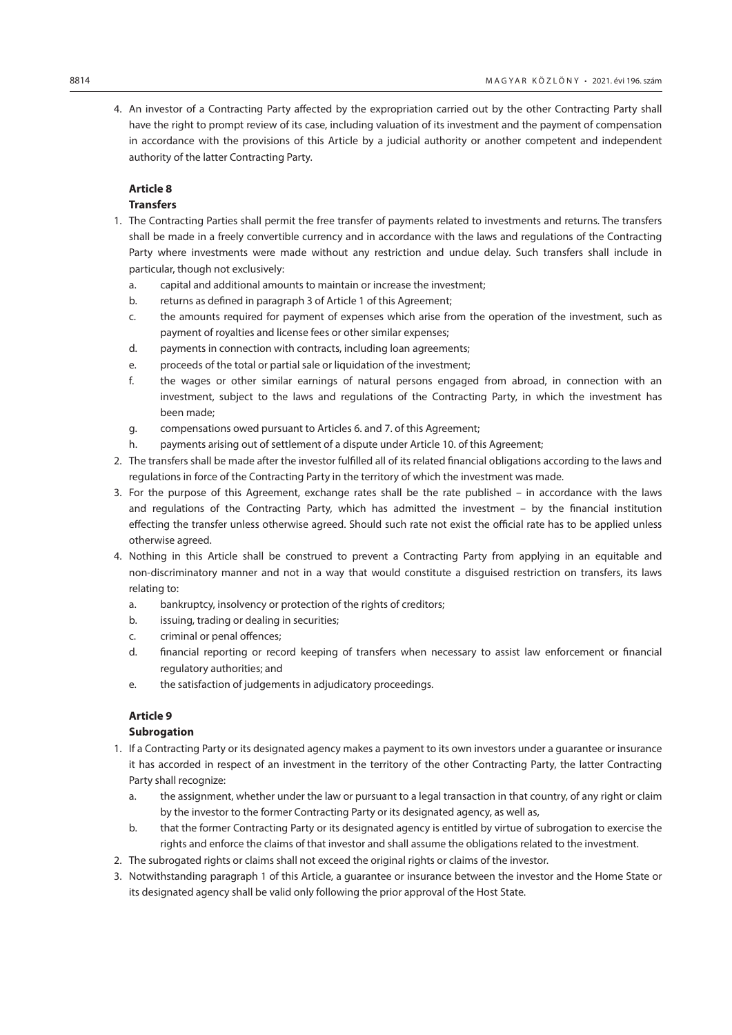4. An investor of a Contracting Party affected by the expropriation carried out by the other Contracting Party shall have the right to prompt review of its case, including valuation of its investment and the payment of compensation in accordance with the provisions of this Article by a judicial authority or another competent and independent authority of the latter Contracting Party.

# **Article 8**

# **Transfers**

- 1. The Contracting Parties shall permit the free transfer of payments related to investments and returns. The transfers shall be made in a freely convertible currency and in accordance with the laws and regulations of the Contracting Party where investments were made without any restriction and undue delay. Such transfers shall include in particular, though not exclusively:
	- a. capital and additional amounts to maintain or increase the investment;
	- b. returns as defined in paragraph 3 of Article 1 of this Agreement;
	- c. the amounts required for payment of expenses which arise from the operation of the investment, such as payment of royalties and license fees or other similar expenses;
	- d. payments in connection with contracts, including loan agreements;
	- e. proceeds of the total or partial sale or liquidation of the investment;
	- f. the wages or other similar earnings of natural persons engaged from abroad, in connection with an investment, subject to the laws and regulations of the Contracting Party, in which the investment has been made;
	- g. compensations owed pursuant to Articles 6. and 7. of this Agreement;
	- h. payments arising out of settlement of a dispute under Article 10. of this Agreement;
- 2. The transfers shall be made after the investor fulfilled all of its related financial obligations according to the laws and regulations in force of the Contracting Party in the territory of which the investment was made.
- 3. For the purpose of this Agreement, exchange rates shall be the rate published in accordance with the laws and regulations of the Contracting Party, which has admitted the investment – by the financial institution effecting the transfer unless otherwise agreed. Should such rate not exist the official rate has to be applied unless otherwise agreed.
- 4. Nothing in this Article shall be construed to prevent a Contracting Party from applying in an equitable and non-discriminatory manner and not in a way that would constitute a disguised restriction on transfers, its laws relating to:
	- a. bankruptcy, insolvency or protection of the rights of creditors;
	- b. issuing, trading or dealing in securities;
	- c. criminal or penal offences;
	- d. financial reporting or record keeping of transfers when necessary to assist law enforcement or financial regulatory authorities; and
	- e. the satisfaction of judgements in adjudicatory proceedings.

# **Article 9**

## **Subrogation**

- 1. If a Contracting Party or its designated agency makes a payment to its own investors under a guarantee or insurance it has accorded in respect of an investment in the territory of the other Contracting Party, the latter Contracting Party shall recognize:
	- a. the assignment, whether under the law or pursuant to a legal transaction in that country, of any right or claim by the investor to the former Contracting Party or its designated agency, as well as,
	- b. that the former Contracting Party or its designated agency is entitled by virtue of subrogation to exercise the rights and enforce the claims of that investor and shall assume the obligations related to the investment.
- 2. The subrogated rights or claims shall not exceed the original rights or claims of the investor.
- 3. Notwithstanding paragraph 1 of this Article, a guarantee or insurance between the investor and the Home State or its designated agency shall be valid only following the prior approval of the Host State.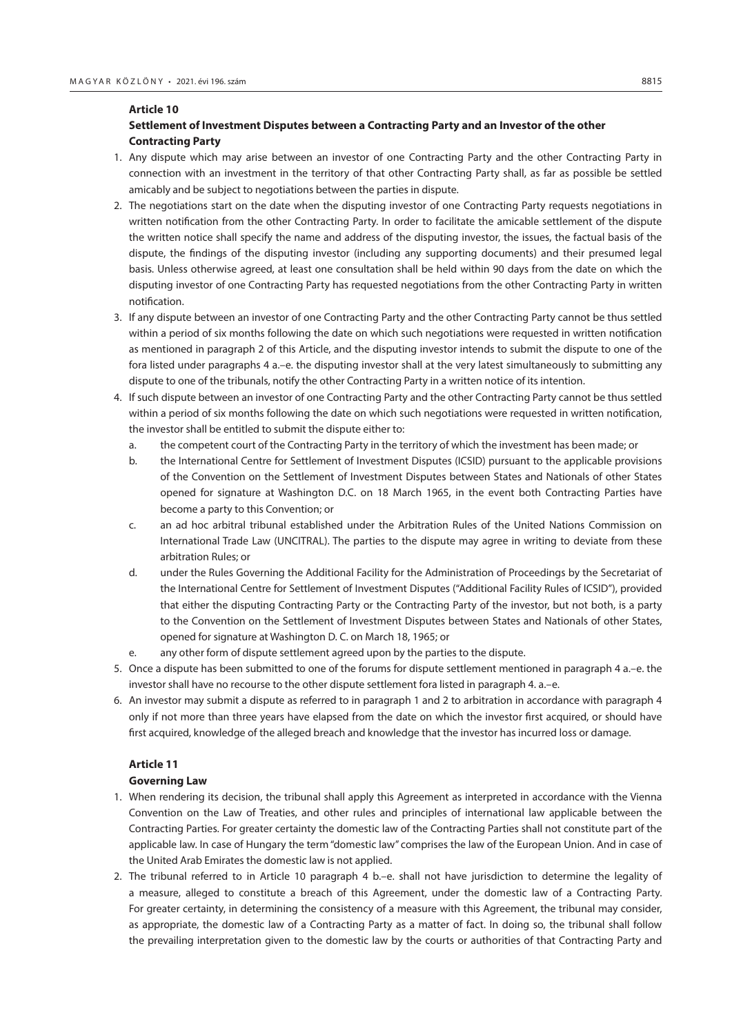# **Settlement of Investment Disputes between a Contracting Party and an Investor of the other Contracting Party**

- 1. Any dispute which may arise between an investor of one Contracting Party and the other Contracting Party in connection with an investment in the territory of that other Contracting Party shall, as far as possible be settled amicably and be subject to negotiations between the parties in dispute.
- 2. The negotiations start on the date when the disputing investor of one Contracting Party requests negotiations in written notification from the other Contracting Party. In order to facilitate the amicable settlement of the dispute the written notice shall specify the name and address of the disputing investor, the issues, the factual basis of the dispute, the findings of the disputing investor (including any supporting documents) and their presumed legal basis. Unless otherwise agreed, at least one consultation shall be held within 90 days from the date on which the disputing investor of one Contracting Party has requested negotiations from the other Contracting Party in written notification.
- 3. If any dispute between an investor of one Contracting Party and the other Contracting Party cannot be thus settled within a period of six months following the date on which such negotiations were requested in written notification as mentioned in paragraph 2 of this Article, and the disputing investor intends to submit the dispute to one of the fora listed under paragraphs 4 a.–e. the disputing investor shall at the very latest simultaneously to submitting any dispute to one of the tribunals, notify the other Contracting Party in a written notice of its intention.
- 4. If such dispute between an investor of one Contracting Party and the other Contracting Party cannot be thus settled within a period of six months following the date on which such negotiations were requested in written notification, the investor shall be entitled to submit the dispute either to:
	- a. the competent court of the Contracting Party in the territory of which the investment has been made; or
	- b. the International Centre for Settlement of Investment Disputes (ICSID) pursuant to the applicable provisions of the Convention on the Settlement of Investment Disputes between States and Nationals of other States opened for signature at Washington D.C. on 18 March 1965, in the event both Contracting Parties have become a party to this Convention; or
	- c. an ad hoc arbitral tribunal established under the Arbitration Rules of the United Nations Commission on International Trade Law (UNCITRAL). The parties to the dispute may agree in writing to deviate from these arbitration Rules; or
	- d. under the Rules Governing the Additional Facility for the Administration of Proceedings by the Secretariat of the International Centre for Settlement of Investment Disputes ("Additional Facility Rules of ICSID"), provided that either the disputing Contracting Party or the Contracting Party of the investor, but not both, is a party to the Convention on the Settlement of Investment Disputes between States and Nationals of other States, opened for signature at Washington D. C. on March 18, 1965; or
	- e. any other form of dispute settlement agreed upon by the parties to the dispute.
- 5. Once a dispute has been submitted to one of the forums for dispute settlement mentioned in paragraph 4 a.–e. the investor shall have no recourse to the other dispute settlement fora listed in paragraph 4. a.–e.
- 6. An investor may submit a dispute as referred to in paragraph 1 and 2 to arbitration in accordance with paragraph 4 only if not more than three years have elapsed from the date on which the investor first acquired, or should have first acquired, knowledge of the alleged breach and knowledge that the investor has incurred loss or damage.

#### **Article 11**

## **Governing Law**

- 1. When rendering its decision, the tribunal shall apply this Agreement as interpreted in accordance with the Vienna Convention on the Law of Treaties, and other rules and principles of international law applicable between the Contracting Parties. For greater certainty the domestic law of the Contracting Parties shall not constitute part of the applicable law. In case of Hungary the term "domestic law" comprises the law of the European Union. And in case of the United Arab Emirates the domestic law is not applied.
- 2. The tribunal referred to in Article 10 paragraph 4 b.–e. shall not have jurisdiction to determine the legality of a measure, alleged to constitute a breach of this Agreement, under the domestic law of a Contracting Party. For greater certainty, in determining the consistency of a measure with this Agreement, the tribunal may consider, as appropriate, the domestic law of a Contracting Party as a matter of fact. In doing so, the tribunal shall follow the prevailing interpretation given to the domestic law by the courts or authorities of that Contracting Party and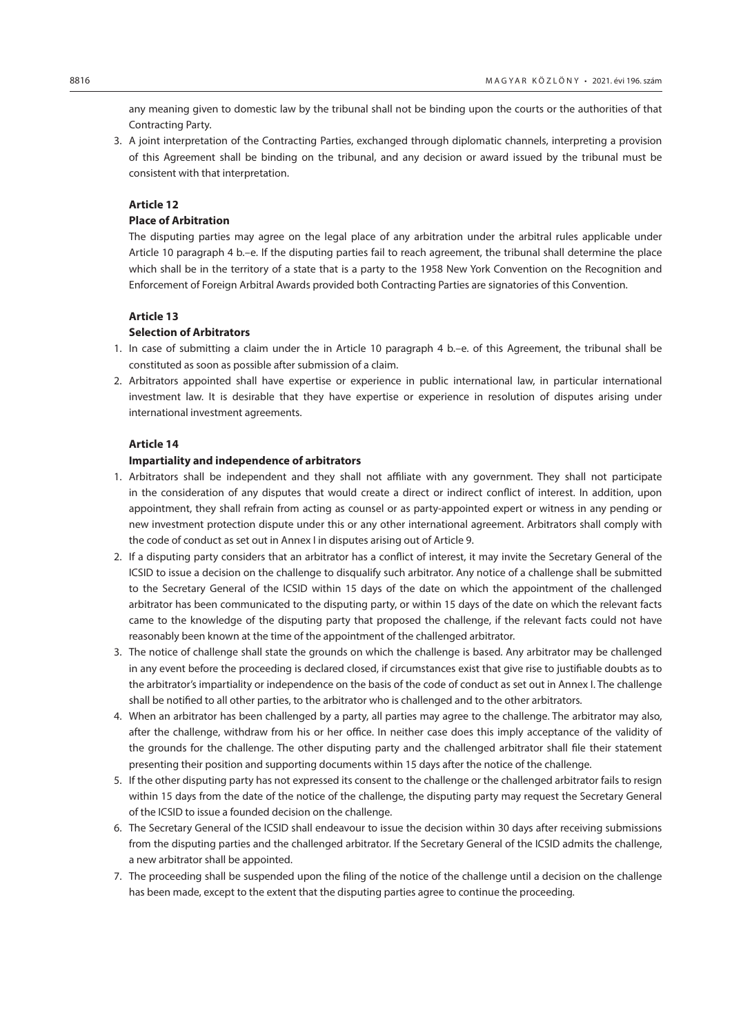any meaning given to domestic law by the tribunal shall not be binding upon the courts or the authorities of that Contracting Party.

3. A joint interpretation of the Contracting Parties, exchanged through diplomatic channels, interpreting a provision of this Agreement shall be binding on the tribunal, and any decision or award issued by the tribunal must be consistent with that interpretation.

# **Article 12**

# **Place of Arbitration**

The disputing parties may agree on the legal place of any arbitration under the arbitral rules applicable under Article 10 paragraph 4 b.–e. If the disputing parties fail to reach agreement, the tribunal shall determine the place which shall be in the territory of a state that is a party to the 1958 New York Convention on the Recognition and Enforcement of Foreign Arbitral Awards provided both Contracting Parties are signatories of this Convention.

# **Article 13**

# **Selection of Arbitrators**

- 1. In case of submitting a claim under the in Article 10 paragraph 4 b.–e. of this Agreement, the tribunal shall be constituted as soon as possible after submission of a claim.
- 2. Arbitrators appointed shall have expertise or experience in public international law, in particular international investment law. It is desirable that they have expertise or experience in resolution of disputes arising under international investment agreements.

### **Article 14**

#### **Impartiality and independence of arbitrators**

- 1. Arbitrators shall be independent and they shall not affiliate with any government. They shall not participate in the consideration of any disputes that would create a direct or indirect conflict of interest. In addition, upon appointment, they shall refrain from acting as counsel or as party-appointed expert or witness in any pending or new investment protection dispute under this or any other international agreement. Arbitrators shall comply with the code of conduct as set out in Annex I in disputes arising out of Article 9.
- 2. If a disputing party considers that an arbitrator has a conflict of interest, it may invite the Secretary General of the ICSID to issue a decision on the challenge to disqualify such arbitrator. Any notice of a challenge shall be submitted to the Secretary General of the ICSID within 15 days of the date on which the appointment of the challenged arbitrator has been communicated to the disputing party, or within 15 days of the date on which the relevant facts came to the knowledge of the disputing party that proposed the challenge, if the relevant facts could not have reasonably been known at the time of the appointment of the challenged arbitrator.
- 3. The notice of challenge shall state the grounds on which the challenge is based. Any arbitrator may be challenged in any event before the proceeding is declared closed, if circumstances exist that give rise to justifiable doubts as to the arbitrator's impartiality or independence on the basis of the code of conduct as set out in Annex I. The challenge shall be notified to all other parties, to the arbitrator who is challenged and to the other arbitrators.
- 4. When an arbitrator has been challenged by a party, all parties may agree to the challenge. The arbitrator may also, after the challenge, withdraw from his or her office. In neither case does this imply acceptance of the validity of the grounds for the challenge. The other disputing party and the challenged arbitrator shall file their statement presenting their position and supporting documents within 15 days after the notice of the challenge.
- 5. If the other disputing party has not expressed its consent to the challenge or the challenged arbitrator fails to resign within 15 days from the date of the notice of the challenge, the disputing party may request the Secretary General of the ICSID to issue a founded decision on the challenge.
- 6. The Secretary General of the ICSID shall endeavour to issue the decision within 30 days after receiving submissions from the disputing parties and the challenged arbitrator. If the Secretary General of the ICSID admits the challenge, a new arbitrator shall be appointed.
- 7. The proceeding shall be suspended upon the filing of the notice of the challenge until a decision on the challenge has been made, except to the extent that the disputing parties agree to continue the proceeding.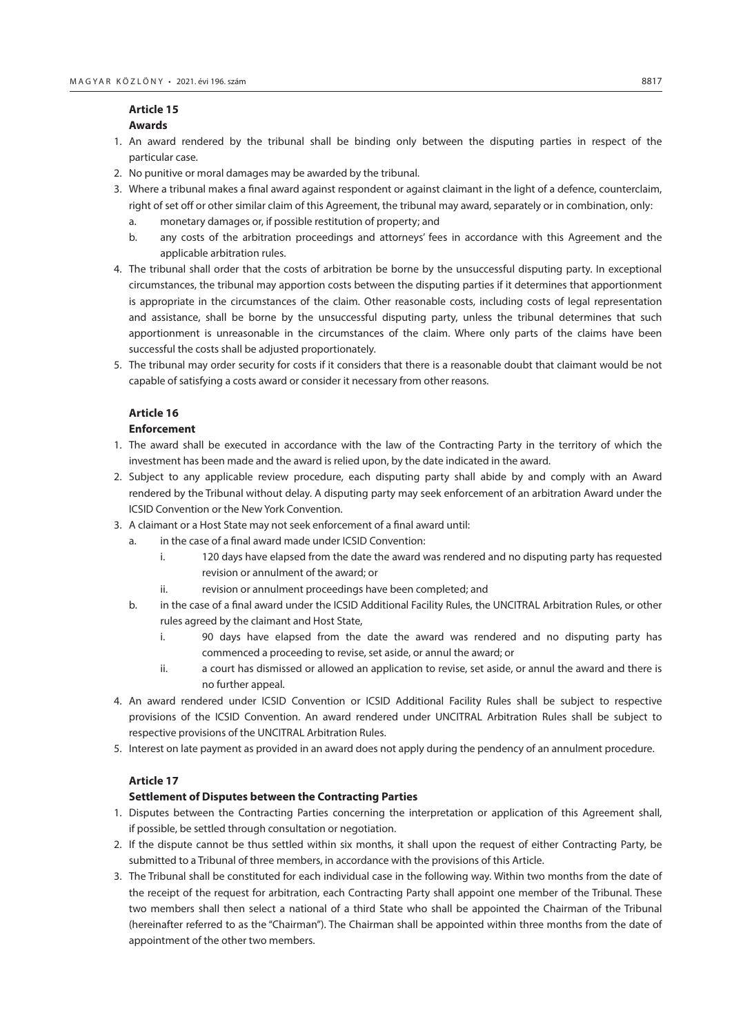# **Article 15 Awards**

- 1. An award rendered by the tribunal shall be binding only between the disputing parties in respect of the particular case.
- 2. No punitive or moral damages may be awarded by the tribunal.
- 3. Where a tribunal makes a final award against respondent or against claimant in the light of a defence, counterclaim, right of set off or other similar claim of this Agreement, the tribunal may award, separately or in combination, only:
	- a. monetary damages or, if possible restitution of property; and
	- b. any costs of the arbitration proceedings and attorneys' fees in accordance with this Agreement and the applicable arbitration rules.
- 4. The tribunal shall order that the costs of arbitration be borne by the unsuccessful disputing party. In exceptional circumstances, the tribunal may apportion costs between the disputing parties if it determines that apportionment is appropriate in the circumstances of the claim. Other reasonable costs, including costs of legal representation and assistance, shall be borne by the unsuccessful disputing party, unless the tribunal determines that such apportionment is unreasonable in the circumstances of the claim. Where only parts of the claims have been successful the costs shall be adjusted proportionately.
- 5. The tribunal may order security for costs if it considers that there is a reasonable doubt that claimant would be not capable of satisfying a costs award or consider it necessary from other reasons.

# **Article 16**

# **Enforcement**

- 1. The award shall be executed in accordance with the law of the Contracting Party in the territory of which the investment has been made and the award is relied upon, by the date indicated in the award.
- 2. Subject to any applicable review procedure, each disputing party shall abide by and comply with an Award rendered by the Tribunal without delay. A disputing party may seek enforcement of an arbitration Award under the ICSID Convention or the New York Convention.
- 3. A claimant or a Host State may not seek enforcement of a final award until:
	- a. in the case of a final award made under ICSID Convention:
		- i. 120 days have elapsed from the date the award was rendered and no disputing party has requested revision or annulment of the award; or
		- ii. revision or annulment proceedings have been completed; and
	- b. in the case of a final award under the ICSID Additional Facility Rules, the UNCITRAL Arbitration Rules, or other rules agreed by the claimant and Host State,
		- i. 90 days have elapsed from the date the award was rendered and no disputing party has commenced a proceeding to revise, set aside, or annul the award; or
		- ii. a court has dismissed or allowed an application to revise, set aside, or annul the award and there is no further appeal.
- 4. An award rendered under ICSID Convention or ICSID Additional Facility Rules shall be subject to respective provisions of the ICSID Convention. An award rendered under UNCITRAL Arbitration Rules shall be subject to respective provisions of the UNCITRAL Arbitration Rules.
- 5. Interest on late payment as provided in an award does not apply during the pendency of an annulment procedure.

# **Article 17**

# **Settlement of Disputes between the Contracting Parties**

- 1. Disputes between the Contracting Parties concerning the interpretation or application of this Agreement shall, if possible, be settled through consultation or negotiation.
- 2. If the dispute cannot be thus settled within six months, it shall upon the request of either Contracting Party, be submitted to a Tribunal of three members, in accordance with the provisions of this Article.
- 3. The Tribunal shall be constituted for each individual case in the following way. Within two months from the date of the receipt of the request for arbitration, each Contracting Party shall appoint one member of the Tribunal. These two members shall then select a national of a third State who shall be appointed the Chairman of the Tribunal (hereinafter referred to as the "Chairman"). The Chairman shall be appointed within three months from the date of appointment of the other two members.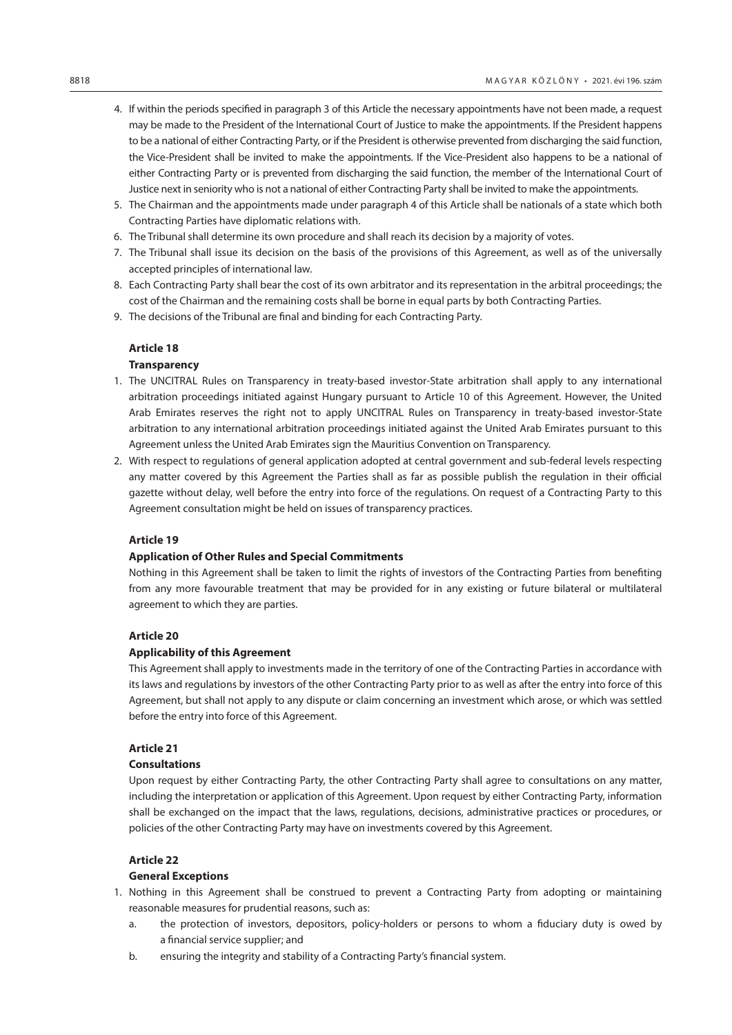- 4. If within the periods specified in paragraph 3 of this Article the necessary appointments have not been made, a request may be made to the President of the International Court of Justice to make the appointments. If the President happens to be a national of either Contracting Party, or if the President is otherwise prevented from discharging the said function, the Vice-President shall be invited to make the appointments. If the Vice-President also happens to be a national of either Contracting Party or is prevented from discharging the said function, the member of the International Court of Justice next in seniority who is not a national of either Contracting Party shall be invited to make the appointments.
- 5. The Chairman and the appointments made under paragraph 4 of this Article shall be nationals of a state which both Contracting Parties have diplomatic relations with.
- 6. The Tribunal shall determine its own procedure and shall reach its decision by a majority of votes.
- 7. The Tribunal shall issue its decision on the basis of the provisions of this Agreement, as well as of the universally accepted principles of international law.
- 8. Each Contracting Party shall bear the cost of its own arbitrator and its representation in the arbitral proceedings; the cost of the Chairman and the remaining costs shall be borne in equal parts by both Contracting Parties.
- 9. The decisions of the Tribunal are final and binding for each Contracting Party.

#### **Transparency**

- 1. The UNCITRAL Rules on Transparency in treaty-based investor-State arbitration shall apply to any international arbitration proceedings initiated against Hungary pursuant to Article 10 of this Agreement. However, the United Arab Emirates reserves the right not to apply UNCITRAL Rules on Transparency in treaty-based investor-State arbitration to any international arbitration proceedings initiated against the United Arab Emirates pursuant to this Agreement unless the United Arab Emirates sign the Mauritius Convention on Transparency.
- 2. With respect to regulations of general application adopted at central government and sub-federal levels respecting any matter covered by this Agreement the Parties shall as far as possible publish the regulation in their official gazette without delay, well before the entry into force of the regulations. On request of a Contracting Party to this Agreement consultation might be held on issues of transparency practices.

#### **Article 19**

# **Application of Other Rules and Special Commitments**

Nothing in this Agreement shall be taken to limit the rights of investors of the Contracting Parties from benefiting from any more favourable treatment that may be provided for in any existing or future bilateral or multilateral agreement to which they are parties.

### **Article 20**

### **Applicability of this Agreement**

This Agreement shall apply to investments made in the territory of one of the Contracting Parties in accordance with its laws and regulations by investors of the other Contracting Party prior to as well as after the entry into force of this Agreement, but shall not apply to any dispute or claim concerning an investment which arose, or which was settled before the entry into force of this Agreement.

#### **Article 21**

# **Consultations**

Upon request by either Contracting Party, the other Contracting Party shall agree to consultations on any matter, including the interpretation or application of this Agreement. Upon request by either Contracting Party, information shall be exchanged on the impact that the laws, regulations, decisions, administrative practices or procedures, or policies of the other Contracting Party may have on investments covered by this Agreement.

#### **Article 22**

### **General Exceptions**

- 1. Nothing in this Agreement shall be construed to prevent a Contracting Party from adopting or maintaining reasonable measures for prudential reasons, such as:
	- a. the protection of investors, depositors, policy-holders or persons to whom a fiduciary duty is owed by a financial service supplier; and
	- b. ensuring the integrity and stability of a Contracting Party's financial system.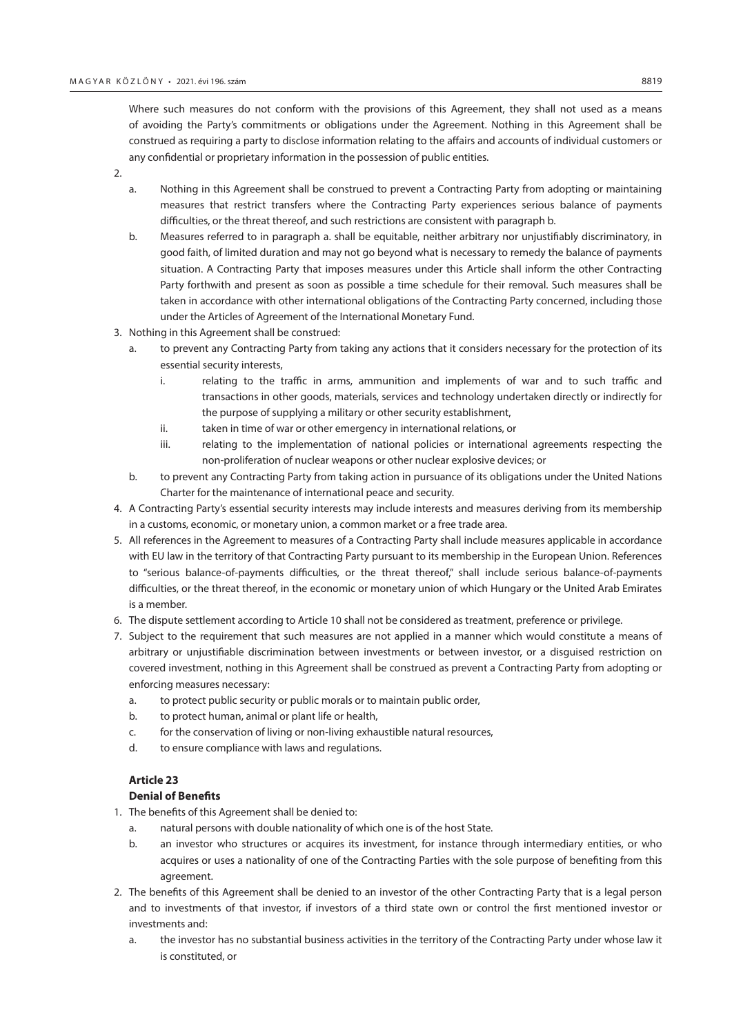Where such measures do not conform with the provisions of this Agreement, they shall not used as a means of avoiding the Party's commitments or obligations under the Agreement. Nothing in this Agreement shall be construed as requiring a party to disclose information relating to the affairs and accounts of individual customers or any confidential or proprietary information in the possession of public entities.

2.

- a. Nothing in this Agreement shall be construed to prevent a Contracting Party from adopting or maintaining measures that restrict transfers where the Contracting Party experiences serious balance of payments difficulties, or the threat thereof, and such restrictions are consistent with paragraph b.
- b. Measures referred to in paragraph a. shall be equitable, neither arbitrary nor unjustifiably discriminatory, in good faith, of limited duration and may not go beyond what is necessary to remedy the balance of payments situation. A Contracting Party that imposes measures under this Article shall inform the other Contracting Party forthwith and present as soon as possible a time schedule for their removal. Such measures shall be taken in accordance with other international obligations of the Contracting Party concerned, including those under the Articles of Agreement of the International Monetary Fund.
- 3. Nothing in this Agreement shall be construed:
	- a. to prevent any Contracting Party from taking any actions that it considers necessary for the protection of its essential security interests,
		- i. relating to the traffic in arms, ammunition and implements of war and to such traffic and transactions in other goods, materials, services and technology undertaken directly or indirectly for the purpose of supplying a military or other security establishment,
		- ii. taken in time of war or other emergency in international relations, or
		- iii. relating to the implementation of national policies or international agreements respecting the non-proliferation of nuclear weapons or other nuclear explosive devices; or
	- b. to prevent any Contracting Party from taking action in pursuance of its obligations under the United Nations Charter for the maintenance of international peace and security.
- 4. A Contracting Party's essential security interests may include interests and measures deriving from its membership in a customs, economic, or monetary union, a common market or a free trade area.
- 5. All references in the Agreement to measures of a Contracting Party shall include measures applicable in accordance with EU law in the territory of that Contracting Party pursuant to its membership in the European Union. References to "serious balance-of-payments difficulties, or the threat thereof," shall include serious balance-of-payments difficulties, or the threat thereof, in the economic or monetary union of which Hungary or the United Arab Emirates is a member.
- 6. The dispute settlement according to Article 10 shall not be considered as treatment, preference or privilege.
- 7. Subject to the requirement that such measures are not applied in a manner which would constitute a means of arbitrary or unjustifiable discrimination between investments or between investor, or a disguised restriction on covered investment, nothing in this Agreement shall be construed as prevent a Contracting Party from adopting or enforcing measures necessary:
	- a. to protect public security or public morals or to maintain public order,
	- b. to protect human, animal or plant life or health,
	- c. for the conservation of living or non-living exhaustible natural resources,
	- d. to ensure compliance with laws and regulations.

# **Article 23**

# **Denial of Benefits**

- 1. The benefits of this Agreement shall be denied to:
	- a. natural persons with double nationality of which one is of the host State.
	- b. an investor who structures or acquires its investment, for instance through intermediary entities, or who acquires or uses a nationality of one of the Contracting Parties with the sole purpose of benefiting from this agreement.
- 2. The benefits of this Agreement shall be denied to an investor of the other Contracting Party that is a legal person and to investments of that investor, if investors of a third state own or control the first mentioned investor or investments and:
	- a. the investor has no substantial business activities in the territory of the Contracting Party under whose law it is constituted, or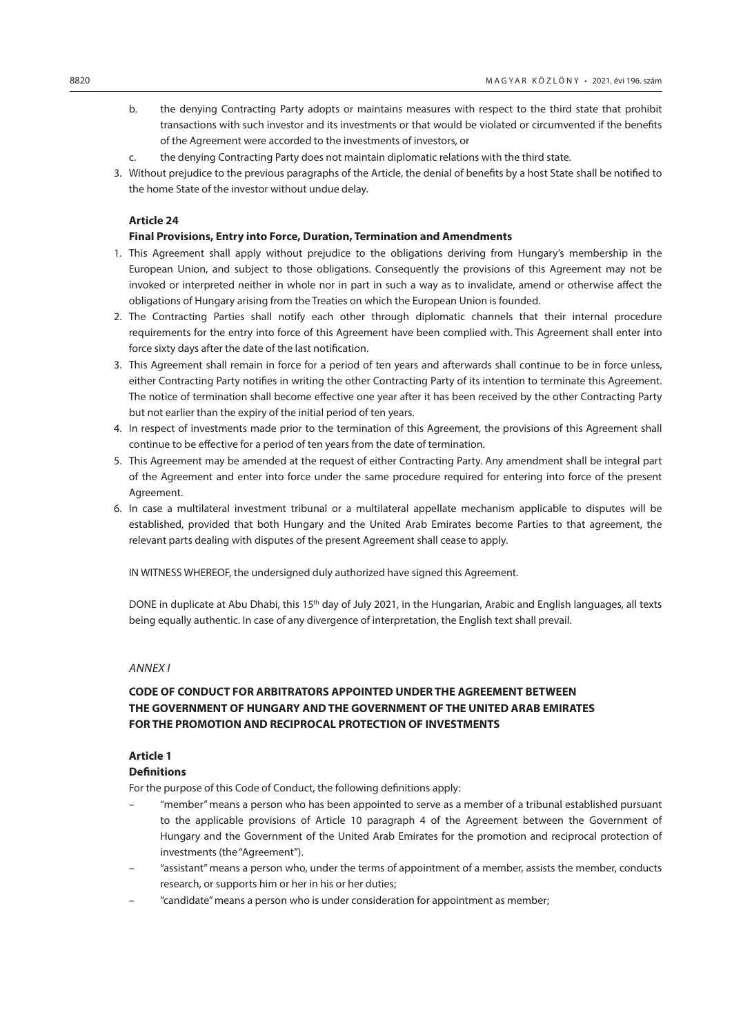- b. the denying Contracting Party adopts or maintains measures with respect to the third state that prohibit transactions with such investor and its investments or that would be violated or circumvented if the benefits of the Agreement were accorded to the investments of investors, or
- c. the denying Contracting Party does not maintain diplomatic relations with the third state.
- 3. Without prejudice to the previous paragraphs of the Article, the denial of benefits by a host State shall be notified to the home State of the investor without undue delay.

## **Final Provisions, Entry into Force, Duration, Termination and Amendments**

- 1. This Agreement shall apply without prejudice to the obligations deriving from Hungary's membership in the European Union, and subject to those obligations. Consequently the provisions of this Agreement may not be invoked or interpreted neither in whole nor in part in such a way as to invalidate, amend or otherwise affect the obligations of Hungary arising from the Treaties on which the European Union is founded.
- 2. The Contracting Parties shall notify each other through diplomatic channels that their internal procedure requirements for the entry into force of this Agreement have been complied with. This Agreement shall enter into force sixty days after the date of the last notification.
- 3. This Agreement shall remain in force for a period of ten years and afterwards shall continue to be in force unless, either Contracting Party notifies in writing the other Contracting Party of its intention to terminate this Agreement. The notice of termination shall become effective one year after it has been received by the other Contracting Party but not earlier than the expiry of the initial period of ten years.
- 4. In respect of investments made prior to the termination of this Agreement, the provisions of this Agreement shall continue to be effective for a period of ten years from the date of termination.
- 5. This Agreement may be amended at the request of either Contracting Party. Any amendment shall be integral part of the Agreement and enter into force under the same procedure required for entering into force of the present Agreement.
- 6. In case a multilateral investment tribunal or a multilateral appellate mechanism applicable to disputes will be established, provided that both Hungary and the United Arab Emirates become Parties to that agreement, the relevant parts dealing with disputes of the present Agreement shall cease to apply.

IN WITNESS WHEREOF, the undersigned duly authorized have signed this Agreement.

DONE in duplicate at Abu Dhabi, this 15<sup>th</sup> day of July 2021, in the Hungarian, Arabic and English languages, all texts being equally authentic. In case of any divergence of interpretation, the English text shall prevail.

# *Annex I*

# **CODE OF CONDUCT FOR ARBITRATORS APPOINTED UNDER THE AGREEMENT BETWEEN THE GOVERNMENT OF HUNGARY AND THE GOVERNMENT OF THE UNITED ARAB EMIRATES FOR THE PROMOTION AND RECIPROCAL PROTECTION OF INVESTMENTS**

## **Article 1**

#### **Definitions**

For the purpose of this Code of Conduct, the following definitions apply:

- "member" means a person who has been appointed to serve as a member of a tribunal established pursuant to the applicable provisions of Article 10 paragraph 4 of the Agreement between the Government of Hungary and the Government of the United Arab Emirates for the promotion and reciprocal protection of investments (the "Agreement").
- "assistant" means a person who, under the terms of appointment of a member, assists the member, conducts research, or supports him or her in his or her duties;
- "candidate" means a person who is under consideration for appointment as member;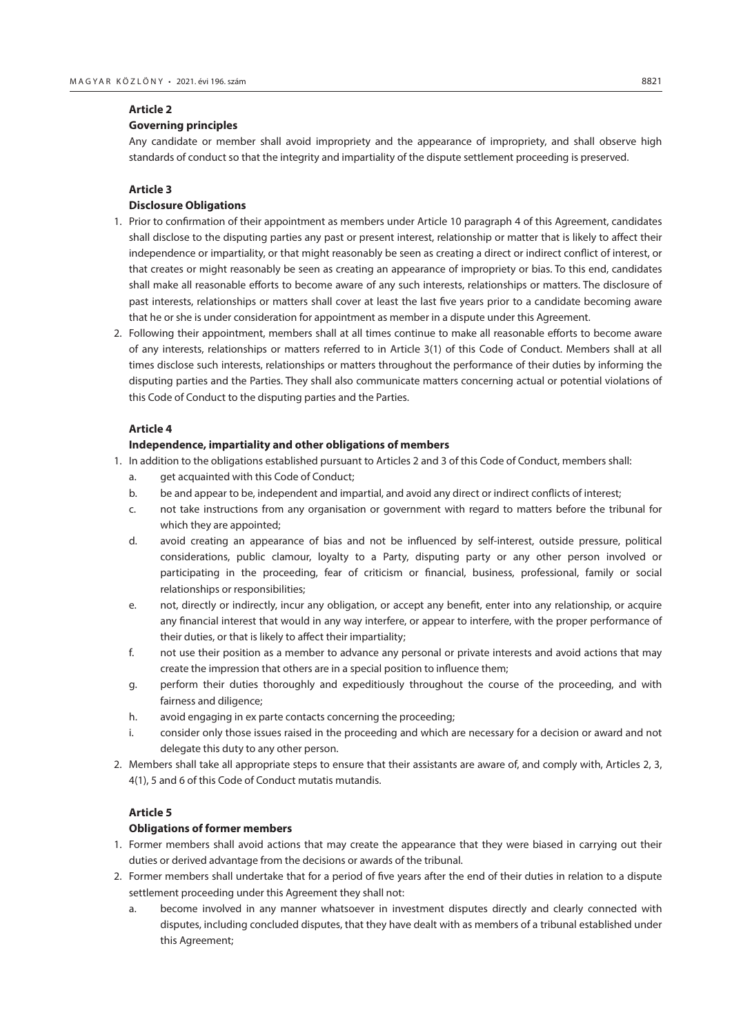# **Governing principles**

Any candidate or member shall avoid impropriety and the appearance of impropriety, and shall observe high standards of conduct so that the integrity and impartiality of the dispute settlement proceeding is preserved.

# **Article 3**

# **Disclosure Obligations**

- 1. Prior to confirmation of their appointment as members under Article 10 paragraph 4 of this Agreement, candidates shall disclose to the disputing parties any past or present interest, relationship or matter that is likely to affect their independence or impartiality, or that might reasonably be seen as creating a direct or indirect conflict of interest, or that creates or might reasonably be seen as creating an appearance of impropriety or bias. To this end, candidates shall make all reasonable efforts to become aware of any such interests, relationships or matters. The disclosure of past interests, relationships or matters shall cover at least the last five years prior to a candidate becoming aware that he or she is under consideration for appointment as member in a dispute under this Agreement.
- 2. Following their appointment, members shall at all times continue to make all reasonable efforts to become aware of any interests, relationships or matters referred to in Article 3(1) of this Code of Conduct. Members shall at all times disclose such interests, relationships or matters throughout the performance of their duties by informing the disputing parties and the Parties. They shall also communicate matters concerning actual or potential violations of this Code of Conduct to the disputing parties and the Parties.

# **Article 4**

#### **Independence, impartiality and other obligations of members**

- 1. In addition to the obligations established pursuant to Articles 2 and 3 of this Code of Conduct, members shall:
	- a. get acquainted with this Code of Conduct;
	- b. be and appear to be, independent and impartial, and avoid any direct or indirect conflicts of interest;
	- c. not take instructions from any organisation or government with regard to matters before the tribunal for which they are appointed;
	- d. avoid creating an appearance of bias and not be influenced by self-interest, outside pressure, political considerations, public clamour, loyalty to a Party, disputing party or any other person involved or participating in the proceeding, fear of criticism or financial, business, professional, family or social relationships or responsibilities;
	- e. not, directly or indirectly, incur any obligation, or accept any benefit, enter into any relationship, or acquire any financial interest that would in any way interfere, or appear to interfere, with the proper performance of their duties, or that is likely to affect their impartiality;
	- f. not use their position as a member to advance any personal or private interests and avoid actions that may create the impression that others are in a special position to influence them;
	- g. perform their duties thoroughly and expeditiously throughout the course of the proceeding, and with fairness and diligence;
	- h. avoid engaging in ex parte contacts concerning the proceeding;
	- i. consider only those issues raised in the proceeding and which are necessary for a decision or award and not delegate this duty to any other person.
- 2. Members shall take all appropriate steps to ensure that their assistants are aware of, and comply with, Articles 2, 3, 4(1), 5 and 6 of this Code of Conduct mutatis mutandis.

# **Article 5**

#### **Obligations of former members**

- 1. Former members shall avoid actions that may create the appearance that they were biased in carrying out their duties or derived advantage from the decisions or awards of the tribunal.
- 2. Former members shall undertake that for a period of five years after the end of their duties in relation to a dispute settlement proceeding under this Agreement they shall not:
	- a. become involved in any manner whatsoever in investment disputes directly and clearly connected with disputes, including concluded disputes, that they have dealt with as members of a tribunal established under this Agreement;